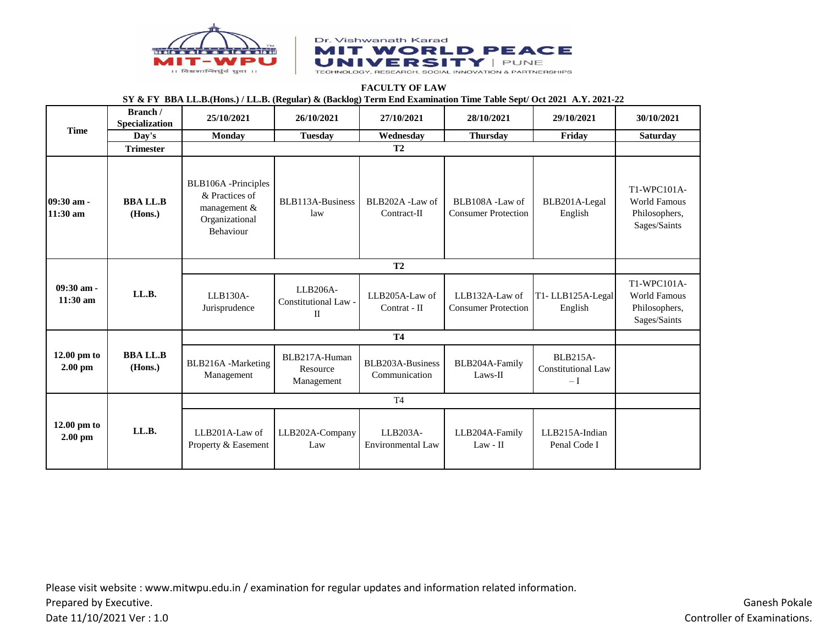



## **FACULTY OF LAW SY & FY BBA LL.B.(Hons.) / LL.B. (Regular) & (Backlog) Term End Examination Time Table Sept/ Oct 2021 A.Y. 2021-22**

| <b>Time</b>                | Branch /<br>Specialization | 25/10/2021                                                                                 | 26/10/2021                              | 27/10/2021                        | 28/10/2021                                   | 29/10/2021                                    | 30/10/2021                                                          |
|----------------------------|----------------------------|--------------------------------------------------------------------------------------------|-----------------------------------------|-----------------------------------|----------------------------------------------|-----------------------------------------------|---------------------------------------------------------------------|
|                            | Day's                      | Monday                                                                                     | <b>Tuesday</b>                          | Wednesday                         | <b>Thursday</b>                              | Friday                                        | <b>Saturday</b>                                                     |
|                            | <b>Trimester</b>           |                                                                                            |                                         |                                   |                                              |                                               |                                                                     |
| 09:30 am -<br>$11:30$ am   | <b>BBALLB</b><br>(Hons.)   | BLB106A-Principles<br>& Practices of<br>management &<br>Organizational<br><b>Behaviour</b> | BLB113A-Business<br>law                 | BLB202A -Law of<br>Contract-II    | BLB108A-Law of<br><b>Consumer Protection</b> | BLB201A-Legal<br>English                      | T1-WPC101A-<br><b>World Famous</b><br>Philosophers,<br>Sages/Saints |
|                            | LL.B.                      |                                                                                            |                                         |                                   |                                              |                                               |                                                                     |
| 09:30 am -<br>$11:30$ am   |                            | $LLB130A-$<br>Jurisprudence                                                                | LLB206A-<br>Constitutional Law -<br>П   | LLB205A-Law of<br>Contrat - II    | LLB132A-Law of<br><b>Consumer Protection</b> | T1-LLB125A-Legal<br>English                   | T1-WPC101A-<br><b>World Famous</b><br>Philosophers,<br>Sages/Saints |
|                            |                            |                                                                                            |                                         |                                   |                                              |                                               |                                                                     |
| 12.00 pm to<br>$2.00$ pm   | <b>BBALLB</b><br>(Hons.)   | BLB216A -Marketing<br>Management                                                           | BLB217A-Human<br>Resource<br>Management | BLB203A-Business<br>Communication | BLB204A-Family<br>Laws-II                    | BLB215A-<br><b>Constitutional Law</b><br>$-I$ |                                                                     |
|                            |                            |                                                                                            |                                         |                                   |                                              |                                               |                                                                     |
| $12.00$ pm to<br>$2.00$ pm | LL.B.                      | LLB201A-Law of<br>Property & Easement                                                      | LLB202A-Company<br>Law                  | LLB203A-<br>Environmental Law     | LLB204A-Family<br>$Law - II$                 | LLB215A-Indian<br>Penal Code I                |                                                                     |

Please visit website : www.mitwpu.edu.in / examination for regular updates and information related information. Prepared by Executive.